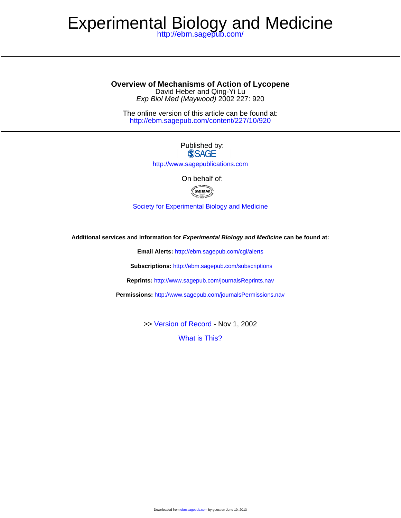# Experimental Biology and Medicine

<http://ebm.sagepub.com/>

David Heber and Qing-Yi Lu **Overview of Mechanisms of Action of Lycopene**

Exp Biol Med (Maywood) 2002 227: 920

<http://ebm.sagepub.com/content/227/10/920> The online version of this article can be found at:

> Published by: **SSAGE**

<http://www.sagepublications.com>

On behalf of:



[Society for Experimental Biology and Medicine](http://www.sebm.org/)

**Additional services and information for Experimental Biology and Medicine can be found at:**

**Email Alerts:** <http://ebm.sagepub.com/cgi/alerts>

**Subscriptions:** <http://ebm.sagepub.com/subscriptions>

**Reprints:** <http://www.sagepub.com/journalsReprints.nav>

**Permissions:** <http://www.sagepub.com/journalsPermissions.nav>

>> [Version of Record -](http://ebm.sagepub.com/content/227/10/920.full.pdf) Nov 1, 2002

[What is This?](http://online.sagepub.com/site/sphelp/vorhelp.xhtml)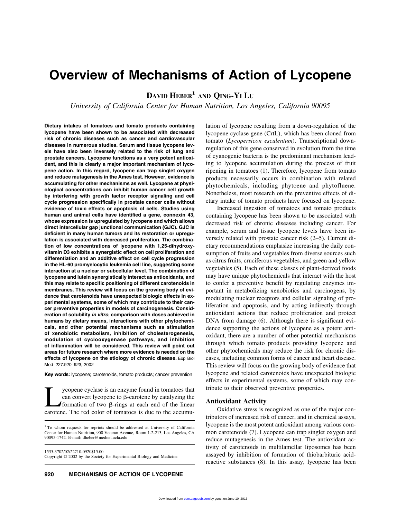# **Overview of Mechanisms of Action of Lycopene**

**DAVID HEBER1 AND QING-YI LU**

*University of California Center for Human Nutrition, Los Angeles, California 90095*

**Dietary intakes of tomatoes and tomato products containing lycopene have been shown to be associated with decreased risk of chronic diseases such as cancer and cardiovascular diseases in numerous studies. Serum and tissue lycopene levels have also been inversely related to the risk of lung and prostate cancers. Lycopene functions as a very potent antioxidant, and this is clearly a major important mechanism of lycopene action. In this regard, lycopene can trap singlet oxygen and reduce mutagenesis in the Ames test. However, evidence is accumulating for other mechanisms as well. Lycopene at physiological concentrations can inhibit human cancer cell growth by interfering with growth factor receptor signaling and cell cycle progression specifically in prostate cancer cells without evidence of toxic effects or apoptosis of cells. Studies using human and animal cells have identified a gene, connexin 43, whose expression is upregulated by lycopene and which allows direct intercellular gap junctional communication (GJC). GJC is deficient in many human tumors and its restoration or upregulation is associated with decreased proliferation. The combination of low concentrations of lycopene with 1,25-dihydroxyvitamin D3 exhibits a synergistic effect on cell proliferation and differentiation and an additive effect on cell cycle progression in the HL-60 promyelocytic leukemia cell line, suggesting some interaction at a nuclear or subcellular level. The combination of lycopene and lutein synergistically interact as antioxidants, and this may relate to specific positioning of different carotenoids in membranes. This review will focus on the growing body of evidence that carotenoids have unexpected biologic effects in experimental systems, some of which may contribute to their cancer preventive properties in models of carcinogenesis. Consideration of solubility** *in vitro***, comparison with doses achieved in humans by dietary means, interactions with other phytochemicals, and other potential mechanisms such as stimulation of xenobiotic metabolism, inhibition of cholesterogenesis, modulation of cyclooxygenase pathways, and inhibition of inflammation will be considered. This review will point out areas for future research where more evidence is needed on the effects of lycopene on the etiology of chronic disease.** Exp Biol Med 227:920–923, 2002

**Key words:** lycopene; carotenoids, tomato products; cancer prevention

ycopene cyclase is an enzyme found in tomatoes that can convert lycopene to  $\beta$ -carotene by catalyzing the **formation** of two  $\beta$ -rings at each end of the linear carotene. The red color of tomatoes is due to the accumu-

1535-3702/02/22710-0920\$15.00 Copyright © 2002 by the Society for Experimental Biology and Medicine lation of lycopene resulting from a down-regulation of the lycopene cyclase gene (CrtL), which has been cloned from tomato (*Lycopersicon esculentum*). Transcriptional downregulation of this gene conserved in evolution from the time of cyanogenic bacteria is the predominant mechanism leading to lycopene accumulation during the process of fruit ripening in tomatoes (1). Therefore, lycopene from tomato products necessarily occurs in combination with related phytochemicals, including phytoene and phytofluene. Nonetheless, most research on the preventive effects of dietary intake of tomato products have focused on lycopene.

Increased ingestion of tomatoes and tomato products containing lycopene has been shown to be associated with decreased risk of chronic diseases including cancer. For example, serum and tissue lycopene levels have been inversely related with prostate cancer risk (2–5). Current dietary recommendations emphasize increasing the daily consumption of fruits and vegetables from diverse sources such as citrus fruits, cruciferous vegetables, and green and yellow vegetables (5). Each of these classes of plant-derived foods may have unique phytochemicals that interact with the host to confer a preventive benefit by regulating enzymes important in metabolizing xenobiotics and carcinogens, by modulating nuclear receptors and cellular signaling of proliferation and apoptosis, and by acting indirectly through antioxidant actions that reduce proliferation and protect DNA from damage (6). Although there is significant evidence supporting the actions of lycopene as a potent antioxidant, there are a number of other potential mechanisms through which tomato products providing lycopene and other phytochemicals may reduce the risk for chronic diseases, including common forms of cancer and heart disease. This review will focus on the growing body of evidence that lycopene and related carotenoids have unexpected biologic effects in experimental systems, some of which may contribute to their observed preventive properties.

#### **Antioxidant Activity**

Oxidative stress is recognized as one of the major contributors of increased risk of cancer, and in chemical assays, lycopene is the most potent antioxidant among various common carotenoids (7). Lycopene can trap singlet oxygen and reduce mutagenesis in the Ames test. The antioxidant activity of carotenoids in multilamellar liposomes has been assayed by inhibition of formation of thiobarbituric acidreactive substances (8). In this assay, lycopene has been

<sup>&</sup>lt;sup>1</sup> To whom requests for reprints should be addressed at University of California Center for Human Nutrition, 900 Veteran Avenue, Room 1-2-213, Los Angeles, CA 90095-1742. E-mail: dheber@mednet.ucla.edu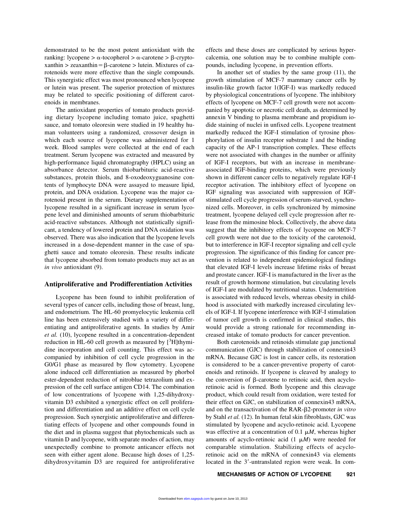demonstrated to be the most potent antioxidant with the  $ranking:lycopene > \alpha$ -tocopherol  $>\alpha$ -carotene  $>\beta$ -cryptoxanthin  $>$  zeaxanthin =  $\beta$ -carotene  $>$  lutein. Mixtures of carotenoids were more effective than the single compounds. This synergistic effect was most pronounced when lycopene or lutein was present. The superior protection of mixtures may be related to specific positioning of different carotenoids in membranes.

The antioxidant properties of tomato products providing dietary lycopene including tomato juice, spaghetti sauce, and tomato oleoresin were studied in 19 healthy human volunteers using a randomized, crossover design in which each source of lycopene was administered for 1 week. Blood samples were collected at the end of each treatment. Serum lycopene was extracted and measured by high-performance liquid chromatography (HPLC) using an absorbance detector. Serum thiobarbituric acid-reactive substances, protein thiols, and 8-oxodeoxyguanosine contents of lymphocyte DNA were assayed to measure lipid, protein, and DNA oxidation. Lycopene was the major carotenoid present in the serum. Dietary supplementation of lycopene resulted in a significant increase in serum lycopene level and diminished amounts of serum thiobarbituric acid-reactive substances. Although not statistically significant, a tendency of lowered protein and DNA oxidation was observed. There was also indication that the lycopene levels increased in a dose-dependent manner in the case of spaghetti sauce and tomato oleoresin. These results indicate that lycopene absorbed from tomato products may act as an *in vivo* antioxidant (9).

#### **Antiproliferative and Prodifferentiation Activities**

Lycopene has been found to inhibit proliferation of several types of cancer cells, including those of breast, lung, and endometrium. The HL-60 promyelocytic leukemia cell line has been extensively studied with a variety of differentiating and antiproliferative agents. In studies by Amir *et al.* (10), lycopene resulted in a concentration-dependent reduction in HL-60 cell growth as measured by  $[3H]$ thymidine incorporation and cell counting. This effect was accompanied by inhibition of cell cycle progression in the G0/G1 phase as measured by flow cytometry. Lycopene alone induced cell differentiation as measured by phorbol ester-dependent reduction of nitroblue tetrazolium and expression of the cell surface antigen CD14. The combination of low concentrations of lycopene with 1,25-dihydroxyvitamin D3 exhibited a synergistic effect on cell proliferation and differentiation and an additive effect on cell cycle progression. Such synergistic antiproliferative and differentiating effects of lycopene and other compounds found in the diet and in plasma suggest that phytochemicals such as vitamin D and lycopene, with separate modes of action, may unexpectedly combine to promote anticancer effects not seen with either agent alone. Because high doses of 1,25 dihydroxyvitamin D3 are required for antiproliferative

effects and these doses are complicated by serious hypercalcemia, one solution may be to combine multiple compounds, including lycopene, in prevention efforts.

In another set of studies by the same group (11), the growth stimulation of MCF-7 mammary cancer cells by insulin-like growth factor 1(IGF-I) was markedly reduced by physiological concentrations of lycopene. The inhibitory effects of lycopene on MCF-7 cell growth were not accompanied by apoptotic or necrotic cell death, as determined by annexin V binding to plasma membrane and propidium iodide staining of nuclei in unfixed cells. Lycopene treatment markedly reduced the IGF-I stimulation of tyrosine phosphorylation of insulin receptor substrate 1 and the binding capacity of the AP-1 transcription complex. These effects were not associated with changes in the number or affinity of IGF-I receptors, but with an increase in membraneassociated IGF-binding proteins, which were previously shown in different cancer cells to negatively regulate IGF-I receptor activation. The inhibitory effect of lycopene on IGF signaling was associated with suppression of IGFstimulated cell cycle progression of serum-starved, synchronized cells. Moreover, in cells synchronized by mimosine treatment, lycopene delayed cell cycle progression after release from the mimosine block. Collectively, the above data suggest that the inhibitory effects of lycopene on MCF-7 cell growth were not due to the toxicity of the carotenoid, but to interference in IGF-I receptor signaling and cell cycle progression. The significance of this finding for cancer prevention is related to independent epidemiological findings that elevated IGF-I levels increase lifetime risks of breast and prostate cancer. IGF-I is manufactured in the liver as the result of growth hormone stimulation, but circulating levels of IGF-I are modulated by nutritional status. Undernutrition is associated with reduced levels, whereas obesity in childhood is associated with markedly increased circulating levels of IGF-I. If lycopene interference with IGF-I stimulation of tumor cell growth is confirmed in clinical studies, this would provide a strong rationale for recommending increased intake of tomato products for cancer prevention.

Both carotenoids and retinoids stimulate gap junctional communication (GJC) through stabilization of connexin43 mRNA. Because GJC is lost in cancer cells, its restoration is considered to be a cancer-preventive property of carotenoids and retinoids. If lycopene is cleaved by analogy to the conversion of  $\beta$ -carotene to retinoic acid, then acycloretinoic acid is formed. Both lycopene and this cleavage product, which could result from oxidation, were tested for their effect on GJC, on stabilization of connexin43 mRNA, and on the transactivation of the RAR-2-promoter *in vitro* by Stahl *et al.* (12). In human fetal skin fibroblasts, GJC was stimulated by lycopene and acyclo-retinoic acid. Lycopene was effective at a concentration of 0.1  $\mu$ *M*, whereas higher amounts of acyclo-retinoic acid  $(1 \mu)$  were needed for comparable stimulation. Stabilizing effects of acycloretinoic acid on the mRNA of connexin43 via elements located in the 3'-untranslated region were weak. In com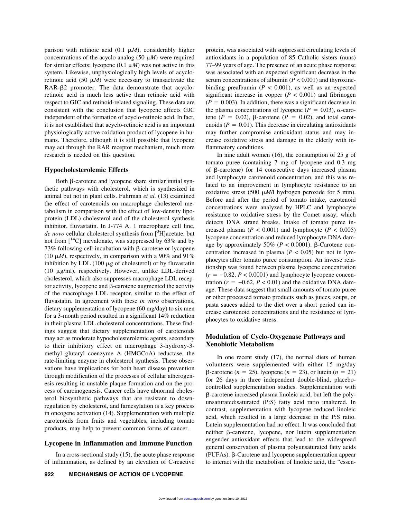parison with retinoic acid  $(0.1 \mu M)$ , considerably higher concentrations of the acyclo analog  $(50 \mu)$  were required for similar effects; lycopene  $(0.1 \mu M)$  was not active in this system. Likewise, unphysiologically high levels of acycloretinoic acid (50  $\mu$ *M*) were necessary to transactivate the RAR- $\beta$ 2 promoter. The data demonstrate that acycloretinoic acid is much less active than retinoic acid with respect to GJC and retinoid-related signaling. These data are consistent with the conclusion that lycopene affects GJC independent of the formation of acyclo-retinoic acid. In fact, it is not established that acyclo-retinoic acid is an important physiologically active oxidation product of lycopene in humans. Therefore, although it is still possible that lycopene may act through the RAR receptor mechanism, much more research is needed on this question.

#### **Hypocholesterolemic Effects**

Both B-carotene and lycopene share similar initial synthetic pathways with cholesterol, which is synthesized in animal but not in plant cells. Fuhrman *et al.* (13) examined the effect of carotenoids on macrophage cholesterol metabolism in comparison with the effect of low-density lipoprotein (LDL) cholesterol and of the cholesterol synthesis inhibitor, fluvastatin. In J-774 A. 1 macrophage cell line, *de novo* cellular cholesterol synthesis from [3 H]acetate, but not from  $[14C]$  mevalonate, was suppressed by 63% and by  $73\%$  following cell incubation with  $\beta$ -carotene or lycopene (10  $\mu$ *M*), respectively, in comparison with a 90% and 91% inhibition by LDL (100  $\mu$ g of cholesterol) or by fluvastatin (10  $\mu$ g/ml), respectively. However, unlike LDL-derived cholesterol, which also suppresses macrophage LDL receptor activity, lycopene and  $\beta$ -carotene augmented the activity of the macrophage LDL receptor, similar to the effect of fluvastatin. In agreement with these *in vitro* observations, dietary supplementation of lycopene (60 mg/day) to six men for a 3-month period resulted in a significant 14% reduction in their plasma LDL cholesterol concentrations. These findings suggest that dietary supplementation of carotenoids may act as moderate hypocholesterolemic agents, secondary to their inhibitory effect on macrophage 3-hydroxy-3 methyl glutaryl coenzyme A (HMGCoA) reductase, the rate-limiting enzyme in cholesterol synthesis. These observations have implications for both heart disease prevention through modification of the processes of cellular atherogenesis resulting in unstable plaque formation and on the process of carcinogenesis. Cancer cells have abnormal cholesterol biosynthetic pathways that are resistant to downregulation by cholesterol, and farnesylation is a key process in oncogene activation (14). Supplementation with multiple carotenoids from fruits and vegetables, including tomato products, may help to prevent common forms of cancer.

#### **Lycopene in Inflammation and Immune Function**

In a cross-sectional study (15), the acute phase response of inflammation, as defined by an elevation of C-reactive protein, was associated with suppressed circulating levels of antioxidants in a population of 85 Catholic sisters (nuns) 77–99 years of age. The presence of an acute phase response was associated with an expected significant decrease in the serum concentrations of albumin (*P* < 0.001) and thyroxinebinding prealbumin  $(P < 0.001)$ , as well as an expected significant increase in copper  $(P < 0.001)$  and fibrinogen  $(P = 0.003)$ . In addition, there was a significant decrease in the plasma concentrations of lycopene ( $P = 0.03$ ),  $\alpha$ -carotene ( $P = 0.02$ ),  $\beta$ -carotene ( $P = 0.02$ ), and total carotenoids ( $P = 0.01$ ). This decrease in circulating antioxidants may further compromise antioxidant status and may increase oxidative stress and damage in the elderly with inflammatory conditions.

In nine adult women (16), the consumption of 25 g of tomato puree (containing 7 mg of lycopene and 0.3 mg of  $\beta$ -carotene) for 14 consecutive days increased plasma and lymphocyte carotenoid concentration, and this was related to an improvement in lymphocyte resistance to an oxidative stress (500 *M*/l hydrogen peroxide for 5 min). Before and after the period of tomato intake, carotenoid concentrations were analyzed by HPLC and lymphocyte resistance to oxidative stress by the Comet assay, which detects DNA strand breaks. Intake of tomato puree increased plasma ( $P < 0.001$ ) and lymphocyte ( $P < 0.005$ ) lycopene concentration and reduced lymphocyte DNA damage by approximately 50% ( $P < 0.0001$ ).  $\beta$ -Carotene concentration increased in plasma ( $P < 0.05$ ) but not in lymphocytes after tomato puree consumption. An inverse relationship was found between plasma lycopene concentration  $(r = -0.82, P < 0.0001)$  and lymphocyte lycopene concentration ( $r = -0.62$ ,  $P < 0.01$ ) and the oxidative DNA damage. These data suggest that small amounts of tomato puree or other processed tomato products such as juices, soups, or pasta sauces added to the diet over a short period can increase carotenoid concentrations and the resistance of lymphocytes to oxidative stress.

## **Modulation of Cyclo-Oxygenase Pathways and Xenobiotic Metabolism**

In one recent study (17), the normal diets of human volunteers were supplemented with either 15 mg/day  $\beta$ -carotene (*n* = 25), lycopene (*n* = 23), or lutein (*n* = 21) for 26 days in three independent double-blind, placebocontrolled supplementation studies. Supplementation with -carotene increased plasma linoleic acid, but left the polyunsaturated:saturated (P:S) fatty acid ratio unaltered. In contrast, supplementation with lycopene reduced linoleic acid, which resulted in a large decrease in the P:S ratio. Lutein supplementation had no effect. It was concluded that neither  $\beta$ -carotene, lycopene, nor lutein supplementation engender antioxidant effects that lead to the widespread general conservation of plasma polyunsaturated fatty acids (PUFAs).  $\beta$ -Carotene and lycopene supplementation appear to interact with the metabolism of linoleic acid, the "essen